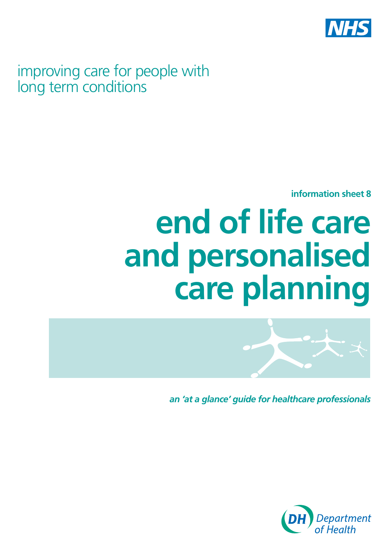

improving care for people with long term conditions

**information sheet 8** 

# **end of life care and personalised care planning**



*an 'at a glance' guide for healthcare professionals*

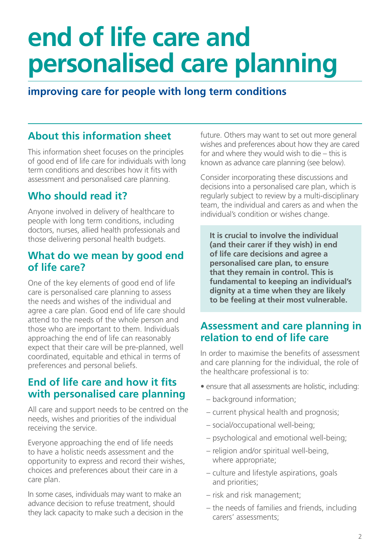## **end of life care and personalised care planning**

## **improving care for people with long term conditions**

## **About this information sheet**

This information sheet focuses on the principles of good end of life care for individuals with long term conditions and describes how it fits with assessment and personalised care planning.

## **Who should read it?**

Anyone involved in delivery of healthcare to people with long term conditions, including doctors, nurses, allied health professionals and those delivering personal health budgets.

### **What do we mean by good end of life care?**

One of the key elements of good end of life care is personalised care planning to assess the needs and wishes of the individual and agree a care plan. Good end of life care should attend to the needs of the whole person and those who are important to them. Individuals approaching the end of life can reasonably expect that their care will be pre-planned, well coordinated, equitable and ethical in terms of preferences and personal beliefs.

## **End of life care and how it fits with personalised care planning**

All care and support needs to be centred on the needs, wishes and priorities of the individual receiving the service.

Everyone approaching the end of life needs to have a holistic needs assessment and the opportunity to express and record their wishes, choices and preferences about their care in a care plan.

In some cases, individuals may want to make an advance decision to refuse treatment, should they lack capacity to make such a decision in the future. Others may want to set out more general wishes and preferences about how they are cared for and where they would wish to die – this is known as advance care planning (see below).

Consider incorporating these discussions and decisions into a personalised care plan, which is regularly subject to review by a multi-disciplinary team, the individual and carers as and when the individual's condition or wishes change.

**It is crucial to involve the individual (and their carer if they wish) in end of life care decisions and agree a personalised care plan, to ensure that they remain in control. This is fundamental to keeping an individual's dignity at a time when they are likely to be feeling at their most vulnerable.** 

## **Assessment and care planning in relation to end of life care**

In order to maximise the benefits of assessment and care planning for the individual, the role of the healthcare professional is to:

- ensure that all assessments are holistic, including:
	- background information;
	- current physical health and prognosis;
	- social/occupational well-being;
	- psychological and emotional well-being;
	- religion and/or spiritual well-being, where appropriate;
	- culture and lifestyle aspirations, goals and priorities;
	- risk and risk management;
	- the needs of families and friends, including carers' assessments;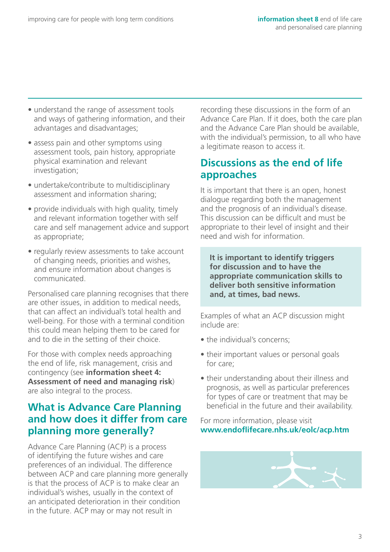- understand the range of assessment tools and ways of gathering information, and their advantages and disadvantages;
- assess pain and other symptoms using assessment tools, pain history, appropriate physical examination and relevant investigation;
- undertake/contribute to multidisciplinary assessment and information sharing;
- provide individuals with high quality, timely and relevant information together with self care and self management advice and support as appropriate;
- regularly review assessments to take account of changing needs, priorities and wishes, and ensure information about changes is communicated.

Personalised care planning recognises that there are other issues, in addition to medical needs, that can affect an individual's total health and well-being. For those with a terminal condition this could mean helping them to be cared for and to die in the setting of their choice.

For those with complex needs approaching the end of life, risk management, crisis and contingency (see **information sheet 4: Assessment of need and managing risk**) are also integral to the process.

## **What is Advance Care Planning and how does it differ from care planning more generally?**

Advance Care Planning (ACP) is a process of identifying the future wishes and care preferences of an individual. The difference between ACP and care planning more generally is that the process of ACP is to make clear an individual's wishes, usually in the context of an anticipated deterioration in their condition in the future. ACP may or may not result in

recording these discussions in the form of an Advance Care Plan. If it does, both the care plan and the Advance Care Plan should be available, with the individual's permission, to all who have a legitimate reason to access it.

## **Discussions as the end of life approaches**

It is important that there is an open, honest dialogue regarding both the management and the prognosis of an individual's disease. This discussion can be difficult and must be appropriate to their level of insight and their need and wish for information.

**It is important to identify triggers for discussion and to have the appropriate communication skills to deliver both sensitive information and, at times, bad news.** 

Examples of what an ACP discussion might include are:

- the individual's concerns;
- their important values or personal goals for care;
- their understanding about their illness and prognosis, as well as particular preferences for types of care or treatment that may be beneficial in the future and their availability.

#### For more information, please visit **[www.endoflifecare.nhs.uk/eolc/acp.htm](http://www.endoflifecare.nhs.uk/eolc/acp.htm)**